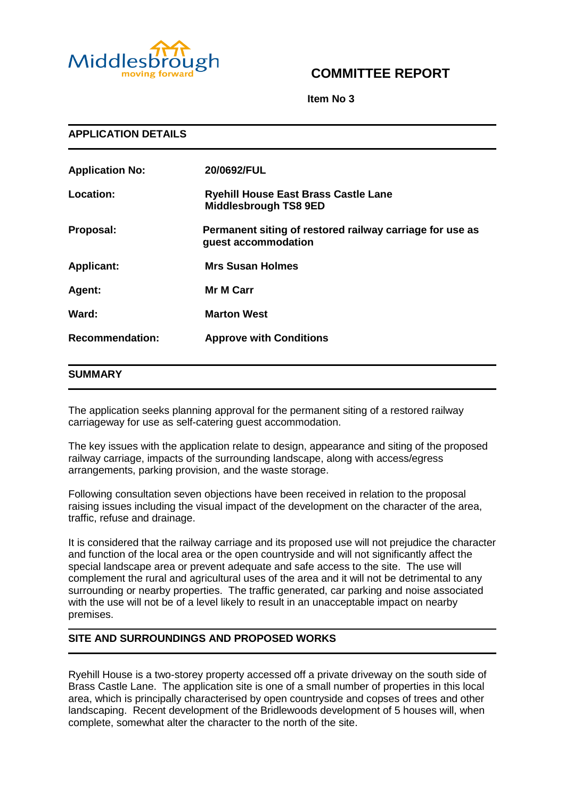

# **COMMITTEE REPORT**

**Item No 3**

| <b>APPLICATION DETAILS</b> |                                                                                 |
|----------------------------|---------------------------------------------------------------------------------|
| <b>Application No:</b>     | 20/0692/FUL                                                                     |
| Location:                  | <b>Ryehill House East Brass Castle Lane</b><br><b>Middlesbrough TS8 9ED</b>     |
| Proposal:                  | Permanent siting of restored railway carriage for use as<br>guest accommodation |
| <b>Applicant:</b>          | <b>Mrs Susan Holmes</b>                                                         |
| Agent:                     | <b>Mr M Carr</b>                                                                |
| Ward:                      | <b>Marton West</b>                                                              |
| <b>Recommendation:</b>     | <b>Approve with Conditions</b>                                                  |

#### **SUMMARY**

The application seeks planning approval for the permanent siting of a restored railway carriageway for use as self-catering guest accommodation.

The key issues with the application relate to design, appearance and siting of the proposed railway carriage, impacts of the surrounding landscape, along with access/egress arrangements, parking provision, and the waste storage.

Following consultation seven objections have been received in relation to the proposal raising issues including the visual impact of the development on the character of the area, traffic, refuse and drainage.

It is considered that the railway carriage and its proposed use will not prejudice the character and function of the local area or the open countryside and will not significantly affect the special landscape area or prevent adequate and safe access to the site. The use will complement the rural and agricultural uses of the area and it will not be detrimental to any surrounding or nearby properties. The traffic generated, car parking and noise associated with the use will not be of a level likely to result in an unacceptable impact on nearby premises.

# **SITE AND SURROUNDINGS AND PROPOSED WORKS**

Ryehill House is a two-storey property accessed off a private driveway on the south side of Brass Castle Lane. The application site is one of a small number of properties in this local area, which is principally characterised by open countryside and copses of trees and other landscaping. Recent development of the Bridlewoods development of 5 houses will, when complete, somewhat alter the character to the north of the site.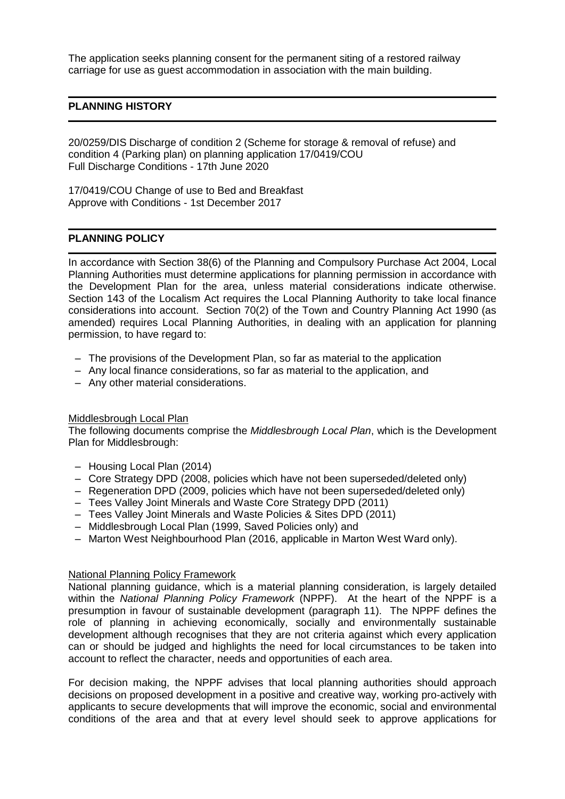The application seeks planning consent for the permanent siting of a restored railway carriage for use as guest accommodation in association with the main building.

## **PLANNING HISTORY**

20/0259/DIS Discharge of condition 2 (Scheme for storage & removal of refuse) and condition 4 (Parking plan) on planning application 17/0419/COU Full Discharge Conditions - 17th June 2020

17/0419/COU Change of use to Bed and Breakfast Approve with Conditions - 1st December 2017

#### **PLANNING POLICY**

In accordance with Section 38(6) of the Planning and Compulsory Purchase Act 2004, Local Planning Authorities must determine applications for planning permission in accordance with the Development Plan for the area, unless material considerations indicate otherwise. Section 143 of the Localism Act requires the Local Planning Authority to take local finance considerations into account. Section 70(2) of the Town and Country Planning Act 1990 (as amended) requires Local Planning Authorities, in dealing with an application for planning permission, to have regard to:

- The provisions of the Development Plan, so far as material to the application
- Any local finance considerations, so far as material to the application, and
- Any other material considerations.

#### Middlesbrough Local Plan

The following documents comprise the *Middlesbrough Local Plan*, which is the Development Plan for Middlesbrough:

- Housing Local Plan (2014)
- Core Strategy DPD (2008, policies which have not been superseded/deleted only)
- Regeneration DPD (2009, policies which have not been superseded/deleted only)
- Tees Valley Joint Minerals and Waste Core Strategy DPD (2011)
- Tees Valley Joint Minerals and Waste Policies & Sites DPD (2011)
- Middlesbrough Local Plan (1999, Saved Policies only) and
- Marton West Neighbourhood Plan (2016, applicable in Marton West Ward only).

#### National Planning Policy Framework

National planning guidance, which is a material planning consideration, is largely detailed within the *National Planning Policy Framework* (NPPF). At the heart of the NPPF is a presumption in favour of sustainable development (paragraph 11). The NPPF defines the role of planning in achieving economically, socially and environmentally sustainable development although recognises that they are not criteria against which every application can or should be judged and highlights the need for local circumstances to be taken into account to reflect the character, needs and opportunities of each area.

For decision making, the NPPF advises that local planning authorities should approach decisions on proposed development in a positive and creative way, working pro-actively with applicants to secure developments that will improve the economic, social and environmental conditions of the area and that at every level should seek to approve applications for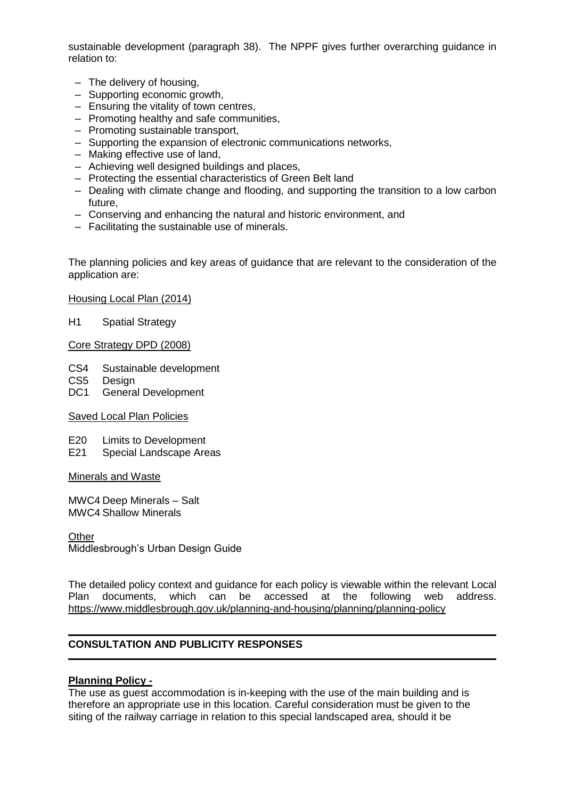sustainable development (paragraph 38). The NPPF gives further overarching guidance in relation to:

- The delivery of housing,
- Supporting economic growth,
- Ensuring the vitality of town centres,
- Promoting healthy and safe communities,
- Promoting sustainable transport,
- Supporting the expansion of electronic communications networks,
- Making effective use of land,
- Achieving well designed buildings and places,
- Protecting the essential characteristics of Green Belt land
- Dealing with climate change and flooding, and supporting the transition to a low carbon future,
- Conserving and enhancing the natural and historic environment, and
- Facilitating the sustainable use of minerals.

The planning policies and key areas of guidance that are relevant to the consideration of the application are:

Housing Local Plan (2014)

H1 Spatial Strategy

#### Core Strategy DPD (2008)

- CS4 Sustainable development
- CS5 Design
- DC1 General Development

#### Saved Local Plan Policies

- E20 Limits to Development
- E21 Special Landscape Areas

#### Minerals and Waste

MWC4 Deep Minerals – Salt MWC4 Shallow Minerals

**Other** Middlesbrough's Urban Design Guide

The detailed policy context and guidance for each policy is viewable within the relevant Local Plan documents, which can be accessed at the following web address. <https://www.middlesbrough.gov.uk/planning-and-housing/planning/planning-policy>

## **CONSULTATION AND PUBLICITY RESPONSES**

#### **Planning Policy -**

The use as guest accommodation is in-keeping with the use of the main building and is therefore an appropriate use in this location. Careful consideration must be given to the siting of the railway carriage in relation to this special landscaped area, should it be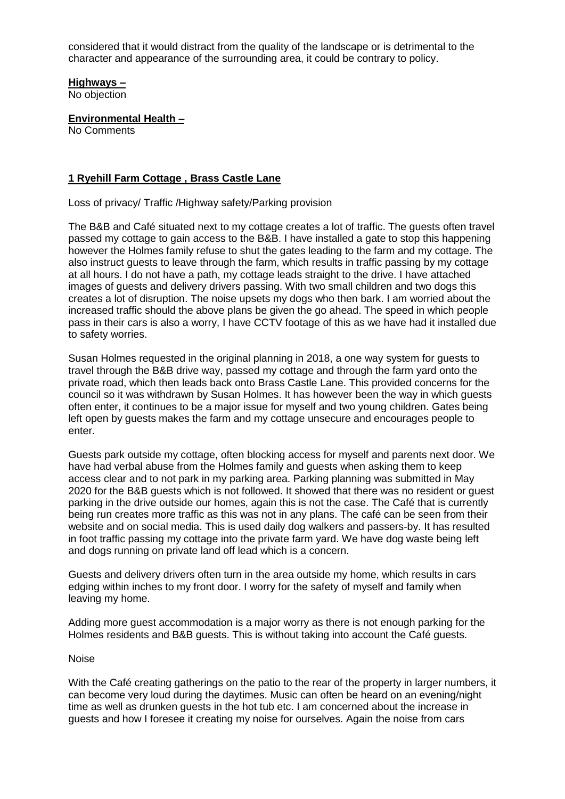considered that it would distract from the quality of the landscape or is detrimental to the character and appearance of the surrounding area, it could be contrary to policy.

## **Highways –**

No objection

**Environmental Health –**

No Comments

## **1 Ryehill Farm Cottage , Brass Castle Lane**

Loss of privacy/ Traffic /Highway safety/Parking provision

The B&B and Café situated next to my cottage creates a lot of traffic. The guests often travel passed my cottage to gain access to the B&B. I have installed a gate to stop this happening however the Holmes family refuse to shut the gates leading to the farm and my cottage. The also instruct guests to leave through the farm, which results in traffic passing by my cottage at all hours. I do not have a path, my cottage leads straight to the drive. I have attached images of guests and delivery drivers passing. With two small children and two dogs this creates a lot of disruption. The noise upsets my dogs who then bark. I am worried about the increased traffic should the above plans be given the go ahead. The speed in which people pass in their cars is also a worry, I have CCTV footage of this as we have had it installed due to safety worries.

Susan Holmes requested in the original planning in 2018, a one way system for guests to travel through the B&B drive way, passed my cottage and through the farm yard onto the private road, which then leads back onto Brass Castle Lane. This provided concerns for the council so it was withdrawn by Susan Holmes. It has however been the way in which guests often enter, it continues to be a major issue for myself and two young children. Gates being left open by guests makes the farm and my cottage unsecure and encourages people to enter.

Guests park outside my cottage, often blocking access for myself and parents next door. We have had verbal abuse from the Holmes family and guests when asking them to keep access clear and to not park in my parking area. Parking planning was submitted in May 2020 for the B&B guests which is not followed. It showed that there was no resident or guest parking in the drive outside our homes, again this is not the case. The Café that is currently being run creates more traffic as this was not in any plans. The café can be seen from their website and on social media. This is used daily dog walkers and passers-by. It has resulted in foot traffic passing my cottage into the private farm yard. We have dog waste being left and dogs running on private land off lead which is a concern.

Guests and delivery drivers often turn in the area outside my home, which results in cars edging within inches to my front door. I worry for the safety of myself and family when leaving my home.

Adding more guest accommodation is a major worry as there is not enough parking for the Holmes residents and B&B guests. This is without taking into account the Café guests.

#### Noise

With the Café creating gatherings on the patio to the rear of the property in larger numbers, it can become very loud during the daytimes. Music can often be heard on an evening/night time as well as drunken guests in the hot tub etc. I am concerned about the increase in guests and how I foresee it creating my noise for ourselves. Again the noise from cars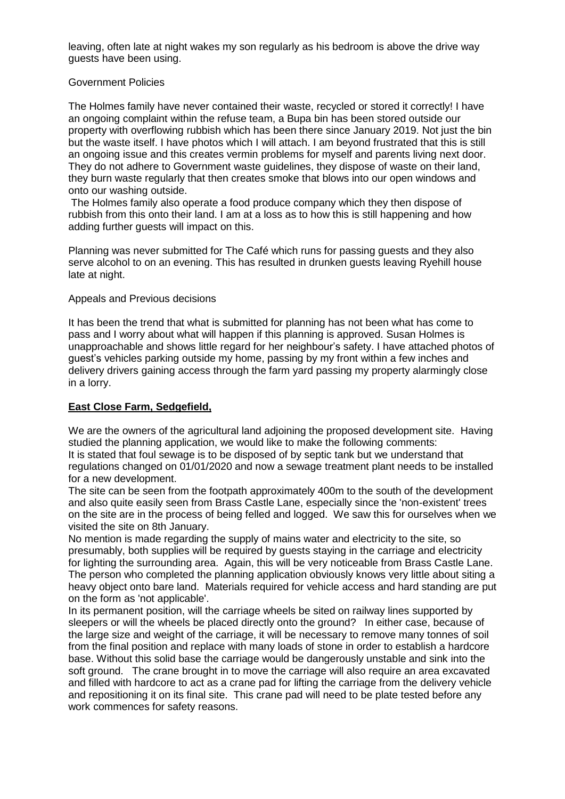leaving, often late at night wakes my son regularly as his bedroom is above the drive way guests have been using.

#### Government Policies

The Holmes family have never contained their waste, recycled or stored it correctly! I have an ongoing complaint within the refuse team, a Bupa bin has been stored outside our property with overflowing rubbish which has been there since January 2019. Not just the bin but the waste itself. I have photos which I will attach. I am beyond frustrated that this is still an ongoing issue and this creates vermin problems for myself and parents living next door. They do not adhere to Government waste guidelines, they dispose of waste on their land, they burn waste regularly that then creates smoke that blows into our open windows and onto our washing outside.

The Holmes family also operate a food produce company which they then dispose of rubbish from this onto their land. I am at a loss as to how this is still happening and how adding further guests will impact on this.

Planning was never submitted for The Café which runs for passing guests and they also serve alcohol to on an evening. This has resulted in drunken guests leaving Ryehill house late at night.

#### Appeals and Previous decisions

It has been the trend that what is submitted for planning has not been what has come to pass and I worry about what will happen if this planning is approved. Susan Holmes is unapproachable and shows little regard for her neighbour's safety. I have attached photos of guest's vehicles parking outside my home, passing by my front within a few inches and delivery drivers gaining access through the farm yard passing my property alarmingly close in a lorry.

## **East Close Farm, Sedgefield,**

We are the owners of the agricultural land adjoining the proposed development site. Having studied the planning application, we would like to make the following comments: It is stated that foul sewage is to be disposed of by septic tank but we understand that regulations changed on 01/01/2020 and now a sewage treatment plant needs to be installed for a new development.

The site can be seen from the footpath approximately 400m to the south of the development and also quite easily seen from Brass Castle Lane, especially since the 'non-existent' trees on the site are in the process of being felled and logged. We saw this for ourselves when we visited the site on 8th January.

No mention is made regarding the supply of mains water and electricity to the site, so presumably, both supplies will be required by guests staying in the carriage and electricity for lighting the surrounding area. Again, this will be very noticeable from Brass Castle Lane. The person who completed the planning application obviously knows very little about siting a heavy object onto bare land. Materials required for vehicle access and hard standing are put on the form as 'not applicable'.

In its permanent position, will the carriage wheels be sited on railway lines supported by sleepers or will the wheels be placed directly onto the ground? In either case, because of the large size and weight of the carriage, it will be necessary to remove many tonnes of soil from the final position and replace with many loads of stone in order to establish a hardcore base. Without this solid base the carriage would be dangerously unstable and sink into the soft ground. The crane brought in to move the carriage will also require an area excavated and filled with hardcore to act as a crane pad for lifting the carriage from the delivery vehicle and repositioning it on its final site. This crane pad will need to be plate tested before any work commences for safety reasons.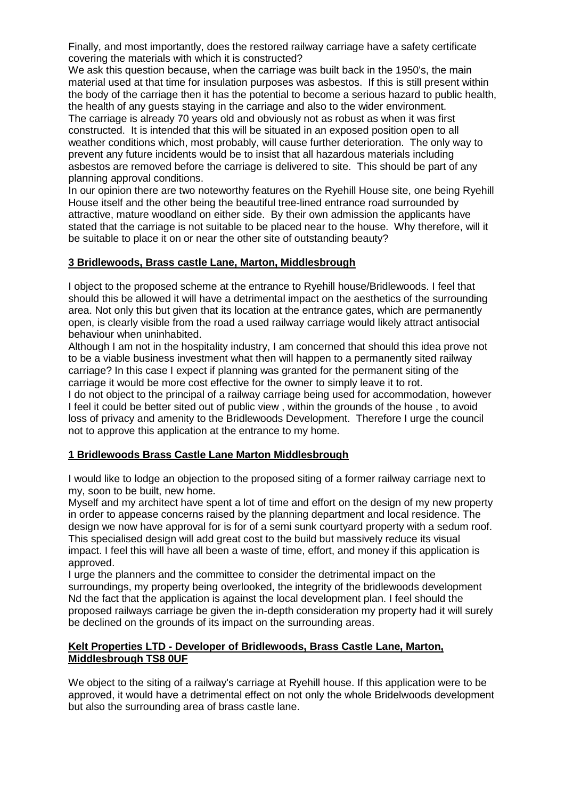Finally, and most importantly, does the restored railway carriage have a safety certificate covering the materials with which it is constructed?

We ask this question because, when the carriage was built back in the 1950's, the main material used at that time for insulation purposes was asbestos. If this is still present within the body of the carriage then it has the potential to become a serious hazard to public health, the health of any guests staying in the carriage and also to the wider environment. The carriage is already 70 years old and obviously not as robust as when it was first constructed. It is intended that this will be situated in an exposed position open to all weather conditions which, most probably, will cause further deterioration. The only way to prevent any future incidents would be to insist that all hazardous materials including asbestos are removed before the carriage is delivered to site. This should be part of any planning approval conditions.

In our opinion there are two noteworthy features on the Ryehill House site, one being Ryehill House itself and the other being the beautiful tree-lined entrance road surrounded by attractive, mature woodland on either side. By their own admission the applicants have stated that the carriage is not suitable to be placed near to the house. Why therefore, will it be suitable to place it on or near the other site of outstanding beauty?

#### **3 Bridlewoods, Brass castle Lane, Marton, Middlesbrough**

I object to the proposed scheme at the entrance to Ryehill house/Bridlewoods. I feel that should this be allowed it will have a detrimental impact on the aesthetics of the surrounding area. Not only this but given that its location at the entrance gates, which are permanently open, is clearly visible from the road a used railway carriage would likely attract antisocial behaviour when uninhabited.

Although I am not in the hospitality industry, I am concerned that should this idea prove not to be a viable business investment what then will happen to a permanently sited railway carriage? In this case I expect if planning was granted for the permanent siting of the carriage it would be more cost effective for the owner to simply leave it to rot.

I do not object to the principal of a railway carriage being used for accommodation, however I feel it could be better sited out of public view , within the grounds of the house , to avoid loss of privacy and amenity to the Bridlewoods Development. Therefore I urge the council not to approve this application at the entrance to my home.

#### **1 Bridlewoods Brass Castle Lane Marton Middlesbrough**

I would like to lodge an objection to the proposed siting of a former railway carriage next to my, soon to be built, new home.

Myself and my architect have spent a lot of time and effort on the design of my new property in order to appease concerns raised by the planning department and local residence. The design we now have approval for is for of a semi sunk courtyard property with a sedum roof. This specialised design will add great cost to the build but massively reduce its visual impact. I feel this will have all been a waste of time, effort, and money if this application is approved.

I urge the planners and the committee to consider the detrimental impact on the surroundings, my property being overlooked, the integrity of the bridlewoods development Nd the fact that the application is against the local development plan. I feel should the proposed railways carriage be given the in-depth consideration my property had it will surely be declined on the grounds of its impact on the surrounding areas.

#### **Kelt Properties LTD - Developer of Bridlewoods, Brass Castle Lane, Marton, Middlesbrough TS8 0UF**

We object to the siting of a railway's carriage at Ryehill house. If this application were to be approved, it would have a detrimental effect on not only the whole Bridelwoods development but also the surrounding area of brass castle lane.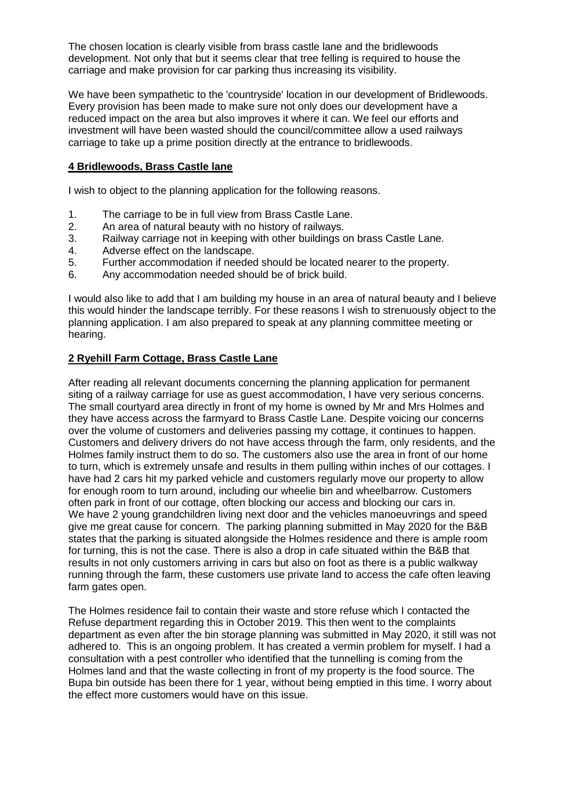The chosen location is clearly visible from brass castle lane and the bridlewoods development. Not only that but it seems clear that tree felling is required to house the carriage and make provision for car parking thus increasing its visibility.

We have been sympathetic to the 'countryside' location in our development of Bridlewoods. Every provision has been made to make sure not only does our development have a reduced impact on the area but also improves it where it can. We feel our efforts and investment will have been wasted should the council/committee allow a used railways carriage to take up a prime position directly at the entrance to bridlewoods.

# **4 Bridlewoods, Brass Castle lane**

I wish to object to the planning application for the following reasons.

- 1. The carriage to be in full view from Brass Castle Lane.
- 2. An area of natural beauty with no history of railways.
- 3. Railway carriage not in keeping with other buildings on brass Castle Lane.
- 4. Adverse effect on the landscape.
- 5. Further accommodation if needed should be located nearer to the property.
- 6. Any accommodation needed should be of brick build.

I would also like to add that I am building my house in an area of natural beauty and I believe this would hinder the landscape terribly. For these reasons I wish to strenuously object to the planning application. I am also prepared to speak at any planning committee meeting or hearing.

# **2 Ryehill Farm Cottage, Brass Castle Lane**

After reading all relevant documents concerning the planning application for permanent siting of a railway carriage for use as guest accommodation, I have very serious concerns. The small courtyard area directly in front of my home is owned by Mr and Mrs Holmes and they have access across the farmyard to Brass Castle Lane. Despite voicing our concerns over the volume of customers and deliveries passing my cottage, it continues to happen. Customers and delivery drivers do not have access through the farm, only residents, and the Holmes family instruct them to do so. The customers also use the area in front of our home to turn, which is extremely unsafe and results in them pulling within inches of our cottages. I have had 2 cars hit my parked vehicle and customers regularly move our property to allow for enough room to turn around, including our wheelie bin and wheelbarrow. Customers often park in front of our cottage, often blocking our access and blocking our cars in. We have 2 young grandchildren living next door and the vehicles manoeuvrings and speed give me great cause for concern. The parking planning submitted in May 2020 for the B&B states that the parking is situated alongside the Holmes residence and there is ample room for turning, this is not the case. There is also a drop in cafe situated within the B&B that results in not only customers arriving in cars but also on foot as there is a public walkway running through the farm, these customers use private land to access the cafe often leaving farm gates open.

The Holmes residence fail to contain their waste and store refuse which I contacted the Refuse department regarding this in October 2019. This then went to the complaints department as even after the bin storage planning was submitted in May 2020, it still was not adhered to. This is an ongoing problem. It has created a vermin problem for myself. I had a consultation with a pest controller who identified that the tunnelling is coming from the Holmes land and that the waste collecting in front of my property is the food source. The Bupa bin outside has been there for 1 year, without being emptied in this time. I worry about the effect more customers would have on this issue.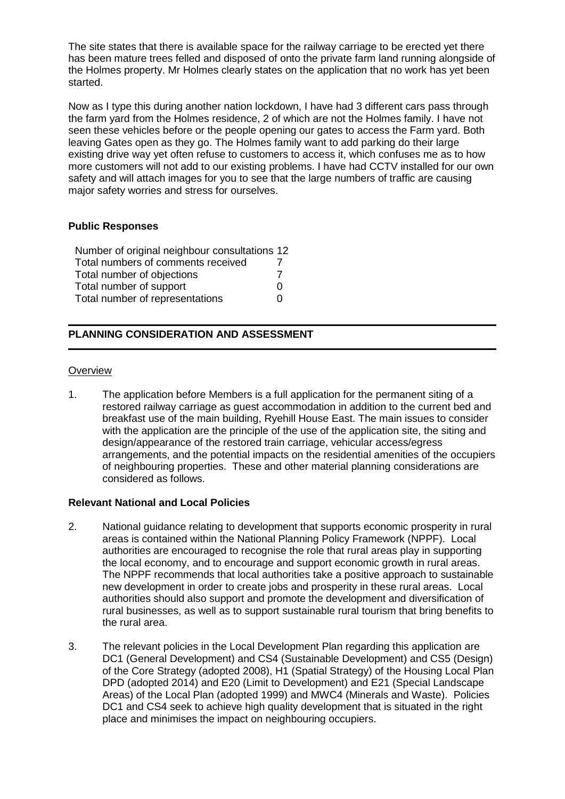The site states that there is available space for the railway carriage to be erected yet there has been mature trees felled and disposed of onto the private farm land running alongside of the Holmes property. Mr Holmes clearly states on the application that no work has yet been started.

Now as I type this during another nation lockdown, I have had 3 different cars pass through the farm yard from the Holmes residence, 2 of which are not the Holmes family. I have not seen these vehicles before or the people opening our gates to access the Farm yard. Both leaving Gates open as they go. The Holmes family want to add parking do their large existing drive way yet often refuse to customers to access it, which confuses me as to how more customers will not add to our existing problems. I have had CCTV installed for our own safety and will attach images for you to see that the large numbers of traffic are causing major safety worries and stress for ourselves.

## **Public Responses**

| Number of original neighbour consultations 12 |   |
|-----------------------------------------------|---|
| Total numbers of comments received            |   |
| Total number of objections                    |   |
| Total number of support                       | 0 |
| Total number of representations               | O |

# **PLANNING CONSIDERATION AND ASSESSMENT**

#### **Overview**

1. The application before Members is a full application for the permanent siting of a restored railway carriage as guest accommodation in addition to the current bed and breakfast use of the main building, Ryehill House East. The main issues to consider with the application are the principle of the use of the application site, the siting and design/appearance of the restored train carriage, vehicular access/egress arrangements, and the potential impacts on the residential amenities of the occupiers of neighbouring properties. These and other material planning considerations are considered as follows.

## **Relevant National and Local Policies**

- 2. National guidance relating to development that supports economic prosperity in rural areas is contained within the National Planning Policy Framework (NPPF). Local authorities are encouraged to recognise the role that rural areas play in supporting the local economy, and to encourage and support economic growth in rural areas. The NPPF recommends that local authorities take a positive approach to sustainable new development in order to create jobs and prosperity in these rural areas. Local authorities should also support and promote the development and diversification of rural businesses, as well as to support sustainable rural tourism that bring benefits to the rural area.
- 3. The relevant policies in the Local Development Plan regarding this application are DC1 (General Development) and CS4 (Sustainable Development) and CS5 (Design) of the Core Strategy (adopted 2008), H1 (Spatial Strategy) of the Housing Local Plan DPD (adopted 2014) and E20 (Limit to Development) and E21 (Special Landscape Areas) of the Local Plan (adopted 1999) and MWC4 (Minerals and Waste). Policies DC1 and CS4 seek to achieve high quality development that is situated in the right place and minimises the impact on neighbouring occupiers.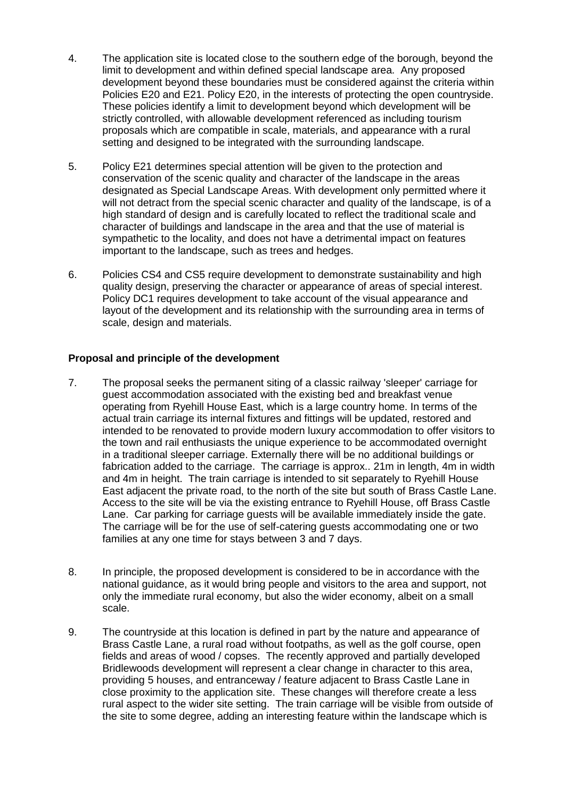- 4. The application site is located close to the southern edge of the borough, beyond the limit to development and within defined special landscape area. Any proposed development beyond these boundaries must be considered against the criteria within Policies E20 and E21. Policy E20, in the interests of protecting the open countryside. These policies identify a limit to development beyond which development will be strictly controlled, with allowable development referenced as including tourism proposals which are compatible in scale, materials, and appearance with a rural setting and designed to be integrated with the surrounding landscape.
- 5. Policy E21 determines special attention will be given to the protection and conservation of the scenic quality and character of the landscape in the areas designated as Special Landscape Areas. With development only permitted where it will not detract from the special scenic character and quality of the landscape, is of a high standard of design and is carefully located to reflect the traditional scale and character of buildings and landscape in the area and that the use of material is sympathetic to the locality, and does not have a detrimental impact on features important to the landscape, such as trees and hedges.
- 6. Policies CS4 and CS5 require development to demonstrate sustainability and high quality design, preserving the character or appearance of areas of special interest. Policy DC1 requires development to take account of the visual appearance and layout of the development and its relationship with the surrounding area in terms of scale, design and materials.

## **Proposal and principle of the development**

- 7. The proposal seeks the permanent siting of a classic railway 'sleeper' carriage for guest accommodation associated with the existing bed and breakfast venue operating from Ryehill House East, which is a large country home. In terms of the actual train carriage its internal fixtures and fittings will be updated, restored and intended to be renovated to provide modern luxury accommodation to offer visitors to the town and rail enthusiasts the unique experience to be accommodated overnight in a traditional sleeper carriage. Externally there will be no additional buildings or fabrication added to the carriage. The carriage is approx.. 21m in length, 4m in width and 4m in height. The train carriage is intended to sit separately to Ryehill House East adjacent the private road, to the north of the site but south of Brass Castle Lane. Access to the site will be via the existing entrance to Ryehill House, off Brass Castle Lane. Car parking for carriage guests will be available immediately inside the gate. The carriage will be for the use of self-catering guests accommodating one or two families at any one time for stays between 3 and 7 days.
- 8. In principle, the proposed development is considered to be in accordance with the national guidance, as it would bring people and visitors to the area and support, not only the immediate rural economy, but also the wider economy, albeit on a small scale.
- 9. The countryside at this location is defined in part by the nature and appearance of Brass Castle Lane, a rural road without footpaths, as well as the golf course, open fields and areas of wood / copses. The recently approved and partially developed Bridlewoods development will represent a clear change in character to this area, providing 5 houses, and entranceway / feature adjacent to Brass Castle Lane in close proximity to the application site. These changes will therefore create a less rural aspect to the wider site setting. The train carriage will be visible from outside of the site to some degree, adding an interesting feature within the landscape which is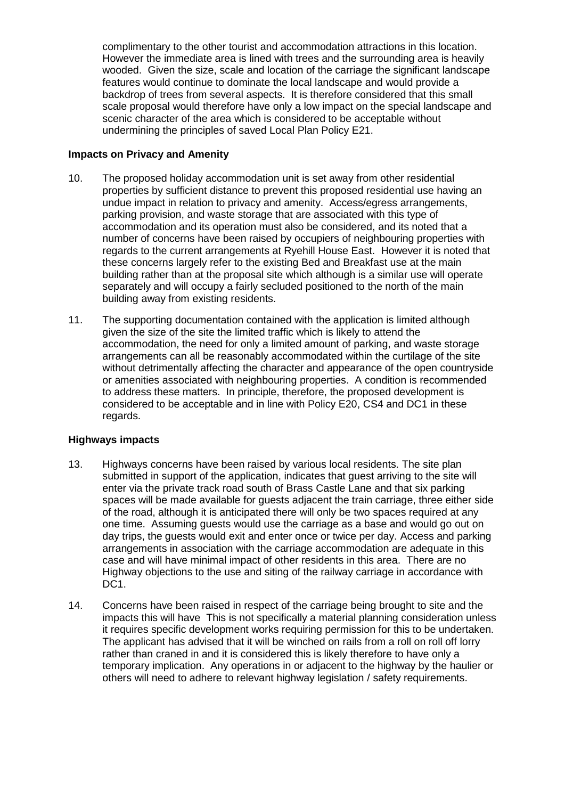complimentary to the other tourist and accommodation attractions in this location. However the immediate area is lined with trees and the surrounding area is heavily wooded. Given the size, scale and location of the carriage the significant landscape features would continue to dominate the local landscape and would provide a backdrop of trees from several aspects. It is therefore considered that this small scale proposal would therefore have only a low impact on the special landscape and scenic character of the area which is considered to be acceptable without undermining the principles of saved Local Plan Policy E21.

## **Impacts on Privacy and Amenity**

- 10. The proposed holiday accommodation unit is set away from other residential properties by sufficient distance to prevent this proposed residential use having an undue impact in relation to privacy and amenity. Access/egress arrangements, parking provision, and waste storage that are associated with this type of accommodation and its operation must also be considered, and its noted that a number of concerns have been raised by occupiers of neighbouring properties with regards to the current arrangements at Ryehill House East. However it is noted that these concerns largely refer to the existing Bed and Breakfast use at the main building rather than at the proposal site which although is a similar use will operate separately and will occupy a fairly secluded positioned to the north of the main building away from existing residents.
- 11. The supporting documentation contained with the application is limited although given the size of the site the limited traffic which is likely to attend the accommodation, the need for only a limited amount of parking, and waste storage arrangements can all be reasonably accommodated within the curtilage of the site without detrimentally affecting the character and appearance of the open countryside or amenities associated with neighbouring properties. A condition is recommended to address these matters. In principle, therefore, the proposed development is considered to be acceptable and in line with Policy E20, CS4 and DC1 in these regards.

# **Highways impacts**

- 13. Highways concerns have been raised by various local residents. The site plan submitted in support of the application, indicates that guest arriving to the site will enter via the private track road south of Brass Castle Lane and that six parking spaces will be made available for guests adjacent the train carriage, three either side of the road, although it is anticipated there will only be two spaces required at any one time. Assuming guests would use the carriage as a base and would go out on day trips, the guests would exit and enter once or twice per day. Access and parking arrangements in association with the carriage accommodation are adequate in this case and will have minimal impact of other residents in this area. There are no Highway objections to the use and siting of the railway carriage in accordance with DC1.
- 14. Concerns have been raised in respect of the carriage being brought to site and the impacts this will have This is not specifically a material planning consideration unless it requires specific development works requiring permission for this to be undertaken. The applicant has advised that it will be winched on rails from a roll on roll off lorry rather than craned in and it is considered this is likely therefore to have only a temporary implication. Any operations in or adjacent to the highway by the haulier or others will need to adhere to relevant highway legislation / safety requirements.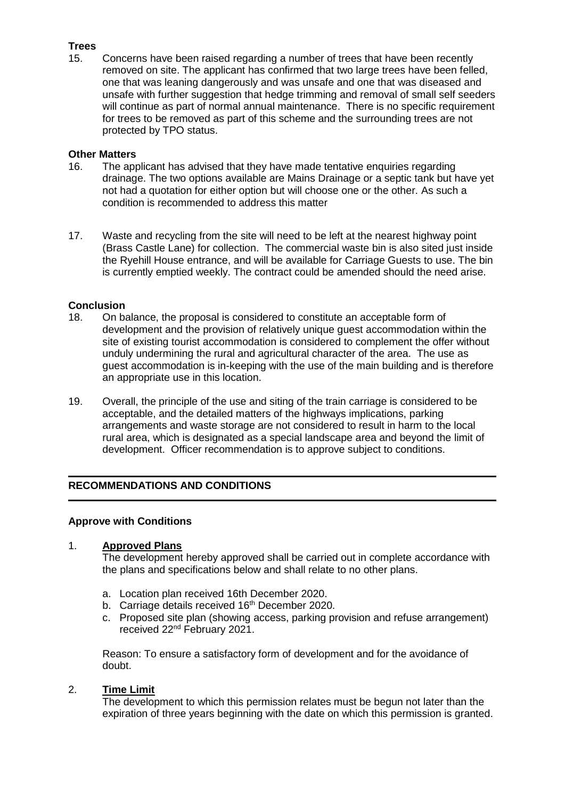# **Trees**

15. Concerns have been raised regarding a number of trees that have been recently removed on site. The applicant has confirmed that two large trees have been felled, one that was leaning dangerously and was unsafe and one that was diseased and unsafe with further suggestion that hedge trimming and removal of small self seeders will continue as part of normal annual maintenance. There is no specific requirement for trees to be removed as part of this scheme and the surrounding trees are not protected by TPO status.

#### **Other Matters**

- 16. The applicant has advised that they have made tentative enquiries regarding drainage. The two options available are Mains Drainage or a septic tank but have yet not had a quotation for either option but will choose one or the other. As such a condition is recommended to address this matter
- 17. Waste and recycling from the site will need to be left at the nearest highway point (Brass Castle Lane) for collection. The commercial waste bin is also sited just inside the Ryehill House entrance, and will be available for Carriage Guests to use. The bin is currently emptied weekly. The contract could be amended should the need arise.

## **Conclusion**

- 18. On balance, the proposal is considered to constitute an acceptable form of development and the provision of relatively unique guest accommodation within the site of existing tourist accommodation is considered to complement the offer without unduly undermining the rural and agricultural character of the area. The use as guest accommodation is in-keeping with the use of the main building and is therefore an appropriate use in this location.
- 19. Overall, the principle of the use and siting of the train carriage is considered to be acceptable, and the detailed matters of the highways implications, parking arrangements and waste storage are not considered to result in harm to the local rural area, which is designated as a special landscape area and beyond the limit of development. Officer recommendation is to approve subject to conditions.

# **RECOMMENDATIONS AND CONDITIONS**

## **Approve with Conditions**

## 1. **Approved Plans**

The development hereby approved shall be carried out in complete accordance with the plans and specifications below and shall relate to no other plans.

- a. Location plan received 16th December 2020.
- b. Carriage details received 16<sup>th</sup> December 2020.
- c. Proposed site plan (showing access, parking provision and refuse arrangement) received 22nd February 2021.

Reason: To ensure a satisfactory form of development and for the avoidance of doubt.

#### 2. **Time Limit**

The development to which this permission relates must be begun not later than the expiration of three years beginning with the date on which this permission is granted.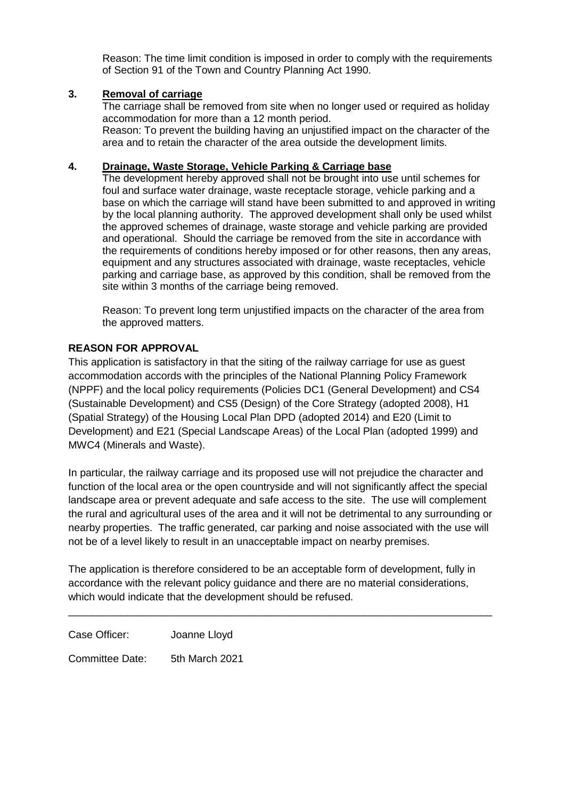Reason: The time limit condition is imposed in order to comply with the requirements of Section 91 of the Town and Country Planning Act 1990.

## **3. Removal of carriage**

The carriage shall be removed from site when no longer used or required as holiday accommodation for more than a 12 month period. Reason: To prevent the building having an unjustified impact on the character of the area and to retain the character of the area outside the development limits.

# **4. Drainage, Waste Storage, Vehicle Parking & Carriage base**

The development hereby approved shall not be brought into use until schemes for foul and surface water drainage, waste receptacle storage, vehicle parking and a base on which the carriage will stand have been submitted to and approved in writing by the local planning authority. The approved development shall only be used whilst the approved schemes of drainage, waste storage and vehicle parking are provided and operational. Should the carriage be removed from the site in accordance with the requirements of conditions hereby imposed or for other reasons, then any areas, equipment and any structures associated with drainage, waste receptacles, vehicle parking and carriage base, as approved by this condition, shall be removed from the site within 3 months of the carriage being removed.

Reason: To prevent long term unjustified impacts on the character of the area from the approved matters.

# **REASON FOR APPROVAL**

This application is satisfactory in that the siting of the railway carriage for use as guest accommodation accords with the principles of the National Planning Policy Framework (NPPF) and the local policy requirements (Policies DC1 (General Development) and CS4 (Sustainable Development) and CS5 (Design) of the Core Strategy (adopted 2008), H1 (Spatial Strategy) of the Housing Local Plan DPD (adopted 2014) and E20 (Limit to Development) and E21 (Special Landscape Areas) of the Local Plan (adopted 1999) and MWC4 (Minerals and Waste).

In particular, the railway carriage and its proposed use will not prejudice the character and function of the local area or the open countryside and will not significantly affect the special landscape area or prevent adequate and safe access to the site. The use will complement the rural and agricultural uses of the area and it will not be detrimental to any surrounding or nearby properties. The traffic generated, car parking and noise associated with the use will not be of a level likely to result in an unacceptable impact on nearby premises.

The application is therefore considered to be an acceptable form of development, fully in accordance with the relevant policy guidance and there are no material considerations, which would indicate that the development should be refused.

\_\_\_\_\_\_\_\_\_\_\_\_\_\_\_\_\_\_\_\_\_\_\_\_\_\_\_\_\_\_\_\_\_\_\_\_\_\_\_\_\_\_\_\_\_\_\_\_\_\_\_\_\_\_\_\_\_\_\_\_\_\_\_\_\_\_\_\_\_\_\_\_\_

Case Officer: Joanne Lloyd Committee Date: 5th March 2021